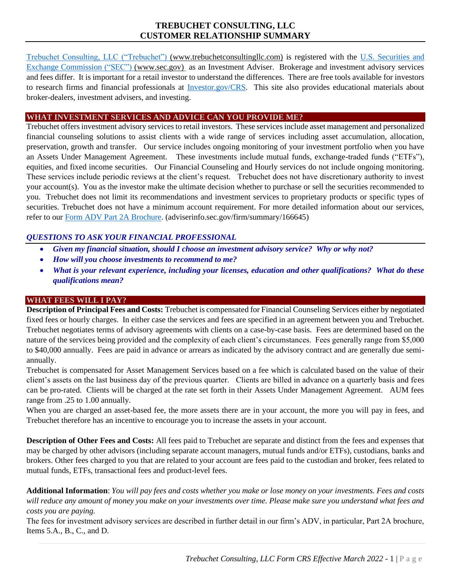# **TREBUCHET CONSULTING, LLC CUSTOMER RELATIONSHIP SUMMARY**

[Trebuchet Consulting, LLC \("Trebuchet"\)](https://www.trebuchetconsultingllc.com/) (www.trebuchetconsultingllc.com) is registered with the [U.S. Securities and](http://www.sec.gov/)  [Exchange Commission \("SEC"\)](http://www.sec.gov/) [\(www.sec.gov\)](http://www.sec.gov/) as an Investment Adviser. Brokerage and investment advisory services and fees differ. It is important for a retail investor to understand the differences. There are free tools available for investors to research firms and financial professionals at [Investor.gov/CRS.](https://www.investor.gov/CRS) This site also provides educational materials about broker-dealers, investment advisers, and investing.

### **WHAT INVESTMENT SERVICES AND ADVICE CAN YOU PROVIDE ME?**

Trebuchet offers investment advisory services to retail investors. These services include asset management and personalized financial counseling solutions to assist clients with a wide range of services including asset accumulation, allocation, preservation, growth and transfer. Our service includes ongoing monitoring of your investment portfolio when you have an Assets Under Management Agreement. These investments include mutual funds, exchange-traded funds ("ETFs"), equities, and fixed income securities. Our Financial Counseling and Hourly services do not include ongoing monitoring. These services include periodic reviews at the client's request. Trebuchet does not have discretionary authority to invest your account(s). You as the investor make the ultimate decision whether to purchase or sell the securities recommended to you. Trebuchet does not limit its recommendations and investment services to proprietary products or specific types of securities. Trebuchet does not have a minimum account requirement. For more detailed information about our services, refer to our [Form ADV](https://adviserinfo.sec.gov/firm/summary/166645) Part 2A Brochure. (adviserinfo.sec.gov/firm/summary/166645)

# *QUESTIONS TO ASK YOUR FINANCIAL PROFESSIONAL*

- *Given my financial situation, should I choose an investment advisory service? Why or why not?*
- *How will you choose investments to recommend to me?*
- *What is your relevant experience, including your licenses, education and other qualifications? What do these qualifications mean?*

# **WHAT FEES WILL I PAY?**

**Description of Principal Fees and Costs:** Trebuchet is compensated for Financial Counseling Services either by negotiated fixed fees or hourly charges. In either case the services and fees are specified in an agreement between you and Trebuchet. Trebuchet negotiates terms of advisory agreements with clients on a case-by-case basis. Fees are determined based on the nature of the services being provided and the complexity of each client's circumstances. Fees generally range from \$5,000 to \$40,000 annually. Fees are paid in advance or arrears as indicated by the advisory contract and are generally due semiannually.

Trebuchet is compensated for Asset Management Services based on a fee which is calculated based on the value of their client's assets on the last business day of the previous quarter. Clients are billed in advance on a quarterly basis and fees can be pro-rated. Clients will be charged at the rate set forth in their Assets Under Management Agreement. AUM fees range from .25 to 1.00 annually.

When you are charged an asset-based fee, the more assets there are in your account, the more you will pay in fees, and Trebuchet therefore has an incentive to encourage you to increase the assets in your account.

**Description of Other Fees and Costs:** All fees paid to Trebuchet are separate and distinct from the fees and expenses that may be charged by other advisors (including separate account managers, mutual funds and/or ETFs), custodians, banks and brokers. Other fees charged to you that are related to your account are fees paid to the custodian and broker, fees related to mutual funds, ETFs, transactional fees and product-level fees.

**Additional Information**: *You will pay fees and costs whether you make or lose money on your investments. Fees and costs will reduce any amount of money you make on your investments over time. Please make sure you understand what fees and costs you are paying.*

The fees for investment advisory services are described in further detail in our firm's ADV, in particular, Part 2A brochure, Items 5.A., B., C., and D.